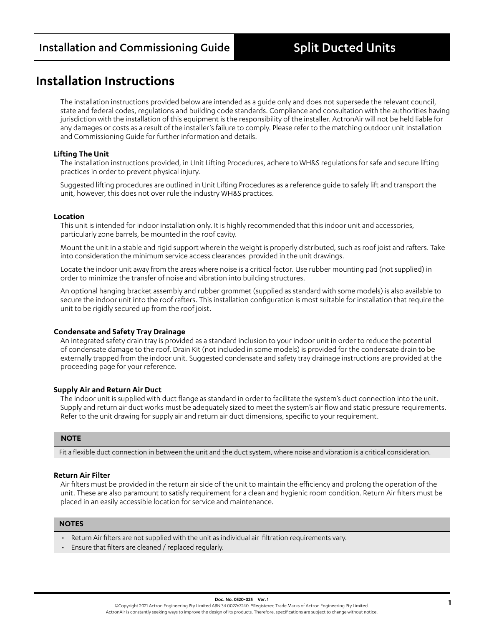# **Installation Instructions**

The installation instructions provided below are intended as a guide only and does not supersede the relevant council, state and federal codes, regulations and building code standards. Compliance and consultation with the authorities having jurisdiction with the installation of this equipment is the responsibility of the installer. ActronAir will not be held liable for any damages or costs as a result of the installer's failure to comply. Please refer to the matching outdoor unit Installation and Commissioning Guide for further information and details.

# **Lifting The Unit**

The installation instructions provided, in Unit Lifting Procedures, adhere to WH&S regulations for safe and secure lifting practices in order to prevent physical injury.

Suggested lifting procedures are outlined in Unit Lifting Procedures as a reference guide to safely lift and transport the unit, however, this does not over rule the industry WH&S practices.

## **Location**

This unit is intended for indoor installation only. It is highly recommended that this indoor unit and accessories, particularly zone barrels, be mounted in the roof cavity.

Mount the unit in a stable and rigid support wherein the weight is properly distributed, such as roof joist and rafters. Take into consideration the minimum service access clearances provided in the unit drawings.

Locate the indoor unit away from the areas where noise is a critical factor. Use rubber mounting pad (not supplied) in order to minimize the transfer of noise and vibration into building structures.

An optional hanging bracket assembly and rubber grommet (supplied as standard with some models) is also available to secure the indoor unit into the roof rafters. This installation configuration is most suitable for installation that require the unit to be rigidly secured up from the roof joist.

# **Condensate and Safety Tray Drainage**

An integrated safety drain tray is provided as a standard inclusion to your indoor unit in order to reduce the potential of condensate damage to the roof. Drain Kit (not included in some models) is provided for the condensate drain to be externally trapped from the indoor unit. Suggested condensate and safety tray drainage instructions are provided at the proceeding page for your reference.

# **Supply Air and Return Air Duct**

The indoor unit is supplied with duct flange as standard in order to facilitate the system's duct connection into the unit. Supply and return air duct works must be adequately sized to meet the system's air flow and static pressure requirements. Refer to the unit drawing for supply air and return air duct dimensions, specific to your requirement.

#### **NOTE**

Fit a flexible duct connection in between the unit and the duct system, where noise and vibration is a critical consideration.

# **Return Air Filter**

Air filters must be provided in the return air side of the unit to maintain the efficiency and prolong the operation of the unit. These are also paramount to satisfy requirement for a clean and hygienic room condition. Return Air filters must be placed in an easily accessible location for service and maintenance.

#### **NOTES**

- Return Air filters are not supplied with the unit as individual air filtration requirements vary.
- Ensure that filters are cleaned / replaced regularly.